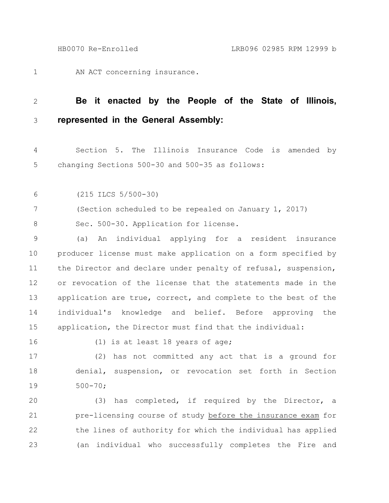AN ACT concerning insurance. 1

## **Be it enacted by the People of the State of Illinois, represented in the General Assembly:** 2 3

Section 5. The Illinois Insurance Code is amended by changing Sections 500-30 and 500-35 as follows: 4 5

(215 ILCS 5/500-30) 6

(Section scheduled to be repealed on January 1, 2017) 7

Sec. 500-30. Application for license. 8

(a) An individual applying for a resident insurance producer license must make application on a form specified by the Director and declare under penalty of refusal, suspension, or revocation of the license that the statements made in the application are true, correct, and complete to the best of the individual's knowledge and belief. Before approving the application, the Director must find that the individual: 9 10 11 12 13 14 15

16

(1) is at least 18 years of age;

(2) has not committed any act that is a ground for denial, suspension, or revocation set forth in Section 500-70; 17 18 19

(3) has completed, if required by the Director, a pre-licensing course of study before the insurance exam for the lines of authority for which the individual has applied (an individual who successfully completes the Fire and 20 21 22 23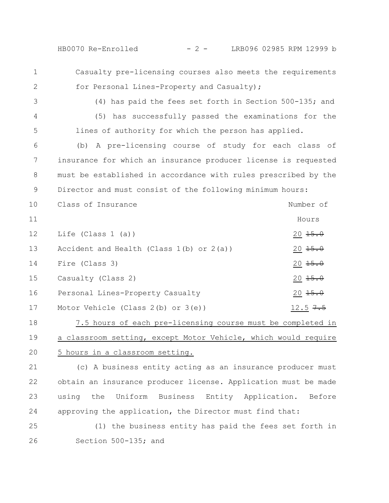HB0070 Re-Enrolled - 2 - LRB096 02985 RPM 12999 b

- Casualty pre-licensing courses also meets the requirements for Personal Lines-Property and Casualty); 1 2
- 3

4

5

(4) has paid the fees set forth in Section 500-135; and (5) has successfully passed the examinations for the lines of authority for which the person has applied.

(b) A pre-licensing course of study for each class of insurance for which an insurance producer license is requested must be established in accordance with rules prescribed by the Director and must consist of the following minimum hours: 6 7 8 9

Class of Insurance Number of Hours Life (Class 1 (a))  $20 \frac{15.0}{15.0}$ Accident and Health (Class  $1(b)$  or  $2(a)$ ) 20  $15.0$ Fire (Class 3)  $20 \frac{15.0}{15.0}$  $\alpha$  Casualty (Class 2)  $\alpha$  20 15.0 Personal Lines-Property Casualty 20 15.0 Motor Vehicle (Class 2(b) or 3(e)) 12.5  $7.5$ 10 11 12 13 14 15 16 17

7.5 hours of each pre-licensing course must be completed in a classroom setting, except Motor Vehicle, which would require 5 hours in a classroom setting. 18 19 20

(c) A business entity acting as an insurance producer must obtain an insurance producer license. Application must be made using the Uniform Business Entity Application. Before approving the application, the Director must find that: 21 22 23 24

(1) the business entity has paid the fees set forth in Section 500-135; and 25 26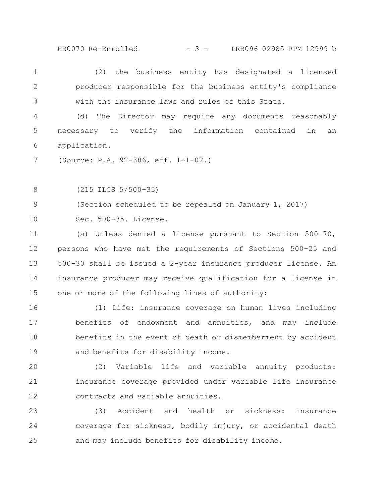- 3 -HB0070 Re-Enrolled LRB096 02985 RPM 12999 b

(2) the business entity has designated a licensed producer responsible for the business entity's compliance with the insurance laws and rules of this State. 1 2 3

(d) The Director may require any documents reasonably necessary to verify the information contained in an application. 4 5 6

(Source: P.A. 92-386, eff. 1-1-02.) 7

(215 ILCS 5/500-35) 8

(Section scheduled to be repealed on January 1, 2017) 9

Sec. 500-35. License. 10

(a) Unless denied a license pursuant to Section 500-70, persons who have met the requirements of Sections 500-25 and 500-30 shall be issued a 2-year insurance producer license. An insurance producer may receive qualification for a license in one or more of the following lines of authority: 11 12 13 14 15

(1) Life: insurance coverage on human lives including benefits of endowment and annuities, and may include benefits in the event of death or dismemberment by accident and benefits for disability income. 16 17 18 19

(2) Variable life and variable annuity products: insurance coverage provided under variable life insurance contracts and variable annuities. 20 21 22

(3) Accident and health or sickness: insurance coverage for sickness, bodily injury, or accidental death and may include benefits for disability income. 23 24 25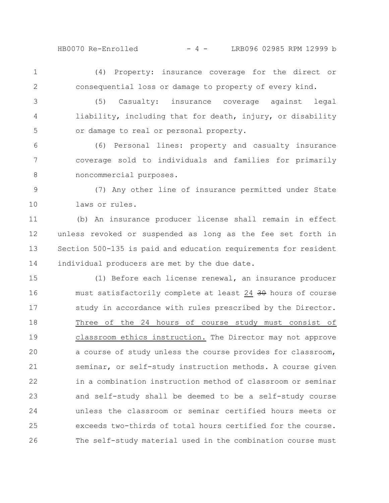HB0070 Re-Enrolled - 4 - LRB096 02985 RPM 12999 b

1 2

(4) Property: insurance coverage for the direct or consequential loss or damage to property of every kind.

(5) Casualty: insurance coverage against legal liability, including that for death, injury, or disability or damage to real or personal property. 3 4 5

(6) Personal lines: property and casualty insurance coverage sold to individuals and families for primarily noncommercial purposes. 6 7 8

(7) Any other line of insurance permitted under State laws or rules. 9 10

(b) An insurance producer license shall remain in effect unless revoked or suspended as long as the fee set forth in Section 500-135 is paid and education requirements for resident individual producers are met by the due date. 11 12 13 14

(1) Before each license renewal, an insurance producer must satisfactorily complete at least 24 30 hours of course study in accordance with rules prescribed by the Director. Three of the 24 hours of course study must consist of classroom ethics instruction. The Director may not approve a course of study unless the course provides for classroom, seminar, or self-study instruction methods. A course given in a combination instruction method of classroom or seminar and self-study shall be deemed to be a self-study course unless the classroom or seminar certified hours meets or exceeds two-thirds of total hours certified for the course. The self-study material used in the combination course must 15 16 17 18 19 20 21 22 23 24 25 26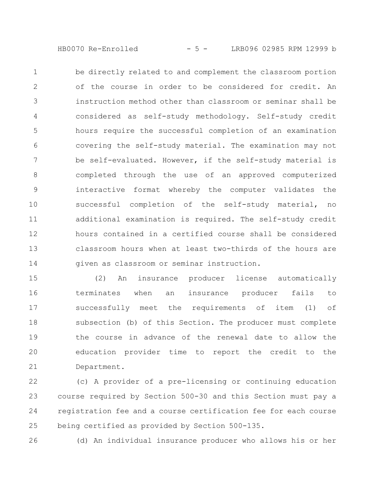- 5 -HB0070 Re-Enrolled LRB096 02985 RPM 12999 b

be directly related to and complement the classroom portion of the course in order to be considered for credit. An instruction method other than classroom or seminar shall be considered as self-study methodology. Self-study credit hours require the successful completion of an examination covering the self-study material. The examination may not be self-evaluated. However, if the self-study material is completed through the use of an approved computerized interactive format whereby the computer validates the successful completion of the self-study material, no additional examination is required. The self-study credit hours contained in a certified course shall be considered classroom hours when at least two-thirds of the hours are given as classroom or seminar instruction. 1 2 3 4 5 6 7 8 9 10 11 12 13 14

(2) An insurance producer license automatically terminates when an insurance producer fails to successfully meet the requirements of item (1) of subsection (b) of this Section. The producer must complete the course in advance of the renewal date to allow the education provider time to report the credit to the Department. 15 16 17 18 19 20 21

(c) A provider of a pre-licensing or continuing education course required by Section 500-30 and this Section must pay a registration fee and a course certification fee for each course being certified as provided by Section 500-135. 22 23 24 25

(d) An individual insurance producer who allows his or her 26